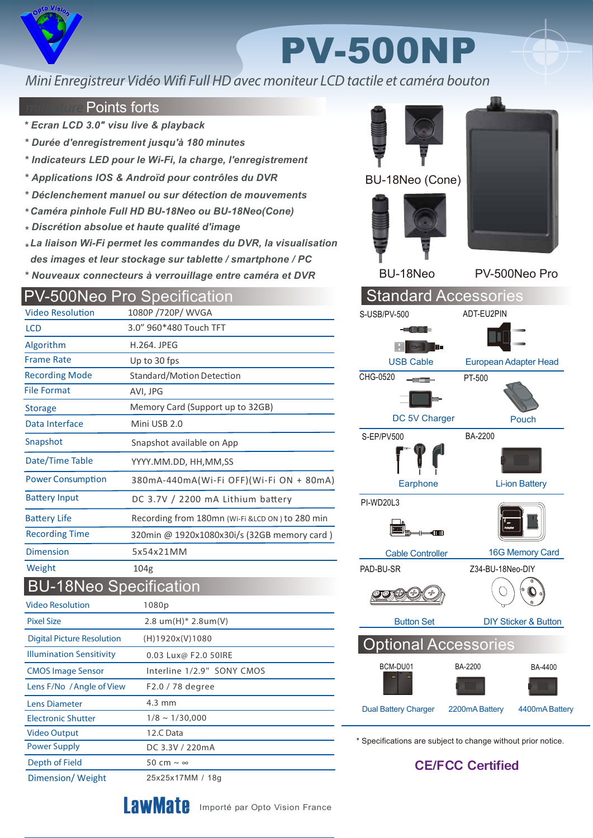

## PV-500NP

## Mini Enregistreur Vidéo Wifi Full HD avec moniteur LCD tactile et caméra bouton

## Points forts

- *\* Ecran LCD 3.0" visu live & playback*
- *\* Durée d'enregistrement jusqu'à 180 minutes*
- *\* Indicateurs LED pour le Wi-Fi, la charge, l'enregistrement*
- *\* Applications IOS & Androïd pour contrôles du DVR*
- *\* Déclenchement manuel ou sur détection de mouvements*
- *\* Caméra pinhole Full HD BU-18Neo ou BU-18Neo(Cone)*
- *\* Discrétion absolue et haute qualité d'image*
- *\* La liaison Wi-Fi permet les commandes du DVR, la visualisation des images et leur stockage sur tablette / smartphone / PC*
- *\* Nouveaux connecteurs à verrouillage entre caméra et DVR*

|                                   | <b>PV-500Neo Pro Specification</b>               |
|-----------------------------------|--------------------------------------------------|
| <b>Video Resolution</b>           | 1080P /720P/ WVGA                                |
| <b>LCD</b>                        | 3.0" 960*480 Touch TFT                           |
| Algorithm                         | <b>H.264. JPEG</b>                               |
| <b>Frame Rate</b>                 | Up to 30 fps                                     |
| <b>Recording Mode</b>             | Standard/Motion Detection                        |
| <b>File Format</b>                | AVI, JPG                                         |
| <b>Storage</b>                    | Memory Card (Support up to 32GB)                 |
| Data Interface                    | Mini USB 2.0                                     |
| Snapshot                          | Snapshot available on App                        |
| Date/Time Table                   | YYYY.MM.DD, HH,MM,SS                             |
| <b>Power Consumption</b>          | 380mA-440mA(Wi-Fi OFF)(Wi-Fi ON + 80mA)          |
| <b>Battery Input</b>              | DC 3.7V / 2200 mA Lithium battery                |
| <b>Battery Life</b>               | Recording from 180mn (Wi-Fi & LCD ON) to 280 min |
| <b>Recording Time</b>             | 320min @ 1920x1080x30i/s (32GB memory card)      |
| <b>Dimension</b>                  | 5x54x21MM                                        |
| Weight                            | 104 <sub>g</sub>                                 |
| <b>BU-18Neo Specification</b>     |                                                  |
| <b>Video Resolution</b>           | 1080p                                            |
| <b>Pixel Size</b>                 | 2.8 um(H)* 2.8um(V)                              |
| <b>Digital Picture Resolution</b> | (H)1920x(V)1080                                  |
| <b>Illumination Sensitivity</b>   | 0.03 Lux@ F2.0 50IRE                             |
| <b>CMOS Image Sensor</b>          | Interline 1/2.9" SONY CMOS                       |
| Lens F/No / Angle of View         | F2.0 / 78 degree                                 |
| <b>Lens Diameter</b>              | $4.3 \text{ mm}$                                 |
| <b>Electronic Shutter</b>         | $1/8 \sim 1/30,000$                              |



BU-18Neo PV-500Neo Pro



\* Specifications are subject to change without prior notice.

 **CE/FCC Certified** 



Depth of Field  $50 \text{ cm} \sim \infty$ 

Power Supply

Video Output

DC 3.3V / 220mA



12.C Data

Importé par Opto Vision France